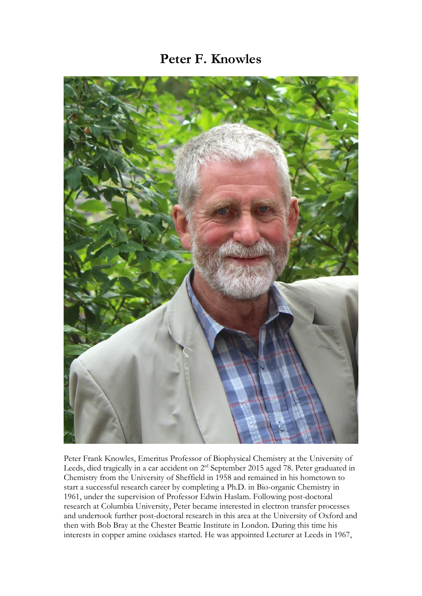## **Peter F. Knowles**



Peter Frank Knowles, Emeritus Professor of Biophysical Chemistry at the University of Leeds, died tragically in a car accident on 2<sup>rd</sup> September 2015 aged 78. Peter graduated in Chemistry from the University of Sheffield in 1958 and remained in his hometown to start a successful research career by completing a Ph.D. in Bio-organic Chemistry in 1961, under the supervision of Professor Edwin Haslam. Following post-doctoral research at Columbia University, Peter became interested in electron transfer processes and undertook further post-doctoral research in this area at the University of Oxford and then with Bob Bray at the Chester Beattie Institute in London. During this time his interests in copper amine oxidases started. He was appointed Lecturer at Leeds in 1967,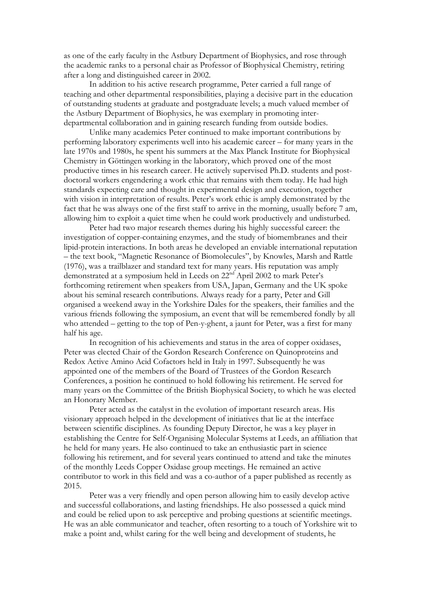as one of the early faculty in the Astbury Department of Biophysics, and rose through the academic ranks to a personal chair as Professor of Biophysical Chemistry, retiring after a long and distinguished career in 2002.

In addition to his active research programme, Peter carried a full range of teaching and other departmental responsibilities, playing a decisive part in the education of outstanding students at graduate and postgraduate levels; a much valued member of the Astbury Department of Biophysics, he was exemplary in promoting interdepartmental collaboration and in gaining research funding from outside bodies.

Unlike many academics Peter continued to make important contributions by performing laboratory experiments well into his academic career – for many years in the late 1970s and 1980s, he spent his summers at the Max Planck Institute for Biophysical Chemistry in Göttingen working in the laboratory, which proved one of the most productive times in his research career. He actively supervised Ph.D. students and postdoctoral workers engendering a work ethic that remains with them today. He had high standards expecting care and thought in experimental design and execution, together with vision in interpretation of results. Peter's work ethic is amply demonstrated by the fact that he was always one of the first staff to arrive in the morning, usually before 7 am, allowing him to exploit a quiet time when he could work productively and undisturbed.

Peter had two major research themes during his highly successful career: the investigation of copper-containing enzymes, and the study of biomembranes and their lipid-protein interactions. In both areas he developed an enviable international reputation – the text book, "Magnetic Resonance of Biomolecules", by Knowles, Marsh and Rattle (1976), was a trailblazer and standard text for many years. His reputation was amply demonstrated at a symposium held in Leeds on 22nd April 2002 to mark Peter's forthcoming retirement when speakers from USA, Japan, Germany and the UK spoke about his seminal research contributions. Always ready for a party, Peter and Gill organised a weekend away in the Yorkshire Dales for the speakers, their families and the various friends following the symposium, an event that will be remembered fondly by all who attended – getting to the top of Pen-y-ghent, a jaunt for Peter, was a first for many half his age.

In recognition of his achievements and status in the area of copper oxidases, Peter was elected Chair of the Gordon Research Conference on Quinoproteins and Redox Active Amino Acid Cofactors held in Italy in 1997. Subsequently he was appointed one of the members of the Board of Trustees of the Gordon Research Conferences, a position he continued to hold following his retirement. He served for many years on the Committee of the British Biophysical Society, to which he was elected an Honorary Member.

Peter acted as the catalyst in the evolution of important research areas. His visionary approach helped in the development of initiatives that lie at the interface between scientific disciplines. As founding Deputy Director, he was a key player in establishing the Centre for Self-Organising Molecular Systems at Leeds, an affiliation that he held for many years. He also continued to take an enthusiastic part in science following his retirement, and for several years continued to attend and take the minutes of the monthly Leeds Copper Oxidase group meetings. He remained an active contributor to work in this field and was a co-author of a paper published as recently as 2015.

Peter was a very friendly and open person allowing him to easily develop active and successful collaborations, and lasting friendships. He also possessed a quick mind and could be relied upon to ask perceptive and probing questions at scientific meetings. He was an able communicator and teacher, often resorting to a touch of Yorkshire wit to make a point and, whilst caring for the well being and development of students, he